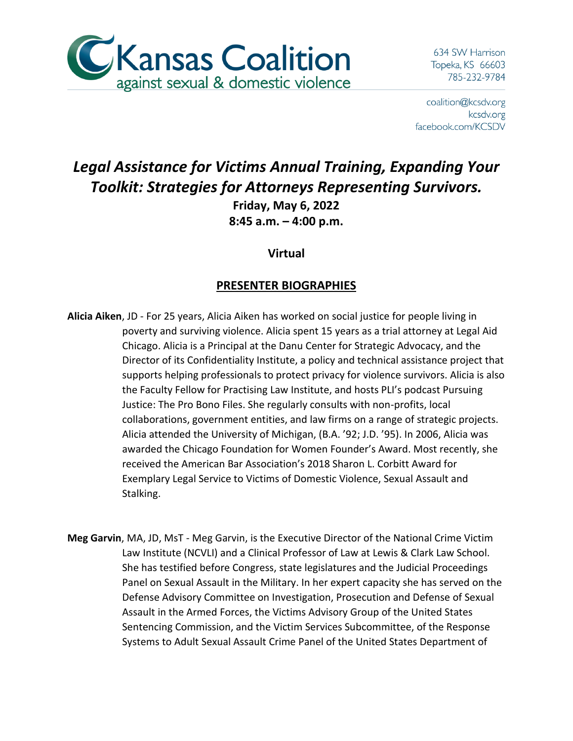

634 SW Harrison Topeka, KS 66603 785-232-9784

coalition@kcsdv.org kcsdv.org facebook.com/KCSDV

## *Legal Assistance for Victims Annual Training, Expanding Your Toolkit: Strategies for Attorneys Representing Survivors.*

**Friday, May 6, 2022 8:45 a.m. – 4:00 p.m.**

**Virtual**

## **PRESENTER BIOGRAPHIES**

- **Alicia Aiken**, JD For 25 years, Alicia Aiken has worked on social justice for people living in poverty and surviving violence. Alicia spent 15 years as a trial attorney at Legal Aid Chicago. Alicia is a Principal at the Danu Center for Strategic Advocacy, and the Director of its Confidentiality Institute, a policy and technical assistance project that supports helping professionals to protect privacy for violence survivors. Alicia is also the Faculty Fellow for Practising Law Institute, and hosts PLI's podcast Pursuing Justice: The Pro Bono Files. She regularly consults with non-profits, local collaborations, government entities, and law firms on a range of strategic projects. Alicia attended the University of Michigan, (B.A. '92; J.D. '95). In 2006, Alicia was awarded the Chicago Foundation for Women Founder's Award. Most recently, she received the American Bar Association's 2018 Sharon L. Corbitt Award for Exemplary Legal Service to Victims of Domestic Violence, Sexual Assault and Stalking.
- **Meg Garvin**, MA, JD, MsT Meg Garvin, is the Executive Director of the National Crime Victim Law Institute (NCVLI) and a Clinical Professor of Law at Lewis & Clark Law School. She has testified before Congress, state legislatures and the Judicial Proceedings Panel on Sexual Assault in the Military. In her expert capacity she has served on the Defense Advisory Committee on Investigation, Prosecution and Defense of Sexual Assault in the Armed Forces, the Victims Advisory Group of the United States Sentencing Commission, and the Victim Services Subcommittee, of the Response Systems to Adult Sexual Assault Crime Panel of the United States Department of